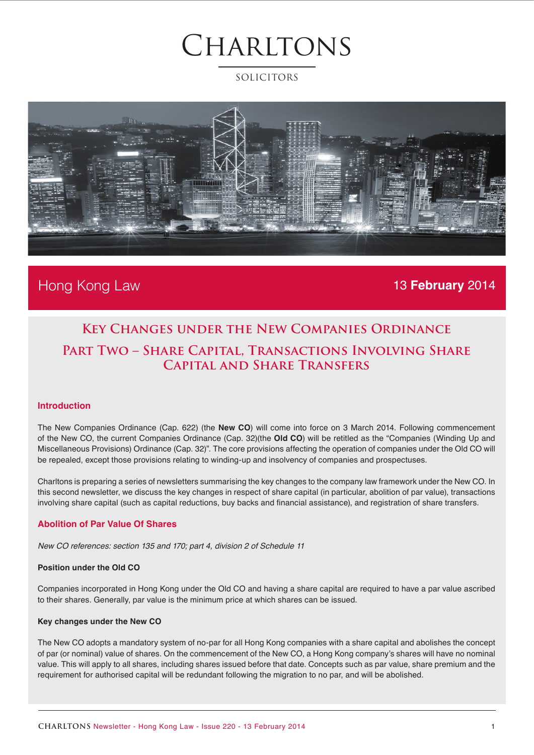### SOLICITORS



### Hong Kong Law 13 **February** 2014

### **Key Changes under the New Companies Ordinance Part Two – Share Capital, Transactions Involving Share Capital and Share Transfers**

#### **Introduction**

The New Companies Ordinance (Cap. 622) (the **New CO**) will come into force on 3 March 2014. Following commencement of the New CO, the current Companies Ordinance (Cap. 32)(the **Old CO**) will be retitled as the "Companies (Winding Up and Miscellaneous Provisions) Ordinance (Cap. 32)". The core provisions affecting the operation of companies under the Old CO will be repealed, except those provisions relating to winding-up and insolvency of companies and prospectuses.

Charltons is preparing a series of newsletters summarising the key changes to the company law framework under the New CO. In this second newsletter, we discuss the key changes in respect of share capital (in particular, abolition of par value), transactions involving share capital (such as capital reductions, buy backs and financial assistance), and registration of share transfers.

#### **Abolition of Par Value Of Shares**

*New CO references: section 135 and 170; part 4, division 2 of Schedule 11* 

#### **Position under the Old CO**

Companies incorporated in Hong Kong under the Old CO and having a share capital are required to have a par value ascribed to their shares. Generally, par value is the minimum price at which shares can be issued.

#### **Key changes under the New CO**

The New CO adopts a mandatory system of no-par for all Hong Kong companies with a share capital and abolishes the concept of par (or nominal) value of shares. On the commencement of the New CO, a Hong Kong company's shares will have no nominal value. This will apply to all shares, including shares issued before that date. Concepts such as par value, share premium and the requirement for authorised capital will be redundant following the migration to no par, and will be abolished.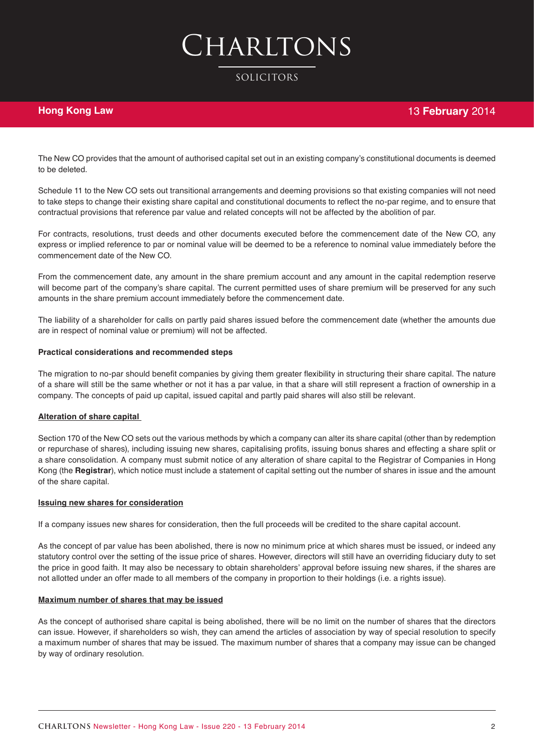# Charltons

#### SOLICITORS

#### **Hong Kong Law**

The New CO provides that the amount of authorised capital set out in an existing company's constitutional documents is deemed to be deleted.

Schedule 11 to the New CO sets out transitional arrangements and deeming provisions so that existing companies will not need to take steps to change their existing share capital and constitutional documents to reflect the no-par regime, and to ensure that contractual provisions that reference par value and related concepts will not be affected by the abolition of par.

For contracts, resolutions, trust deeds and other documents executed before the commencement date of the New CO, any express or implied reference to par or nominal value will be deemed to be a reference to nominal value immediately before the commencement date of the New CO.

From the commencement date, any amount in the share premium account and any amount in the capital redemption reserve will become part of the company's share capital. The current permitted uses of share premium will be preserved for any such amounts in the share premium account immediately before the commencement date.

The liability of a shareholder for calls on partly paid shares issued before the commencement date (whether the amounts due are in respect of nominal value or premium) will not be affected.

#### **Practical considerations and recommended steps**

The migration to no-par should benefit companies by giving them greater flexibility in structuring their share capital. The nature of a share will still be the same whether or not it has a par value, in that a share will still represent a fraction of ownership in a company. The concepts of paid up capital, issued capital and partly paid shares will also still be relevant.

#### **Alteration of share capital**

Section 170 of the New CO sets out the various methods by which a company can alter its share capital (other than by redemption or repurchase of shares), including issuing new shares, capitalising profits, issuing bonus shares and effecting a share split or a share consolidation. A company must submit notice of any alteration of share capital to the Registrar of Companies in Hong Kong (the **Registrar**), which notice must include a statement of capital setting out the number of shares in issue and the amount of the share capital.

#### **Issuing new shares for consideration**

If a company issues new shares for consideration, then the full proceeds will be credited to the share capital account.

As the concept of par value has been abolished, there is now no minimum price at which shares must be issued, or indeed any statutory control over the setting of the issue price of shares. However, directors will still have an overriding fiduciary duty to set the price in good faith. It may also be necessary to obtain shareholders' approval before issuing new shares, if the shares are not allotted under an offer made to all members of the company in proportion to their holdings (i.e. a rights issue).

#### **Maximum number of shares that may be issued**

As the concept of authorised share capital is being abolished, there will be no limit on the number of shares that the directors can issue. However, if shareholders so wish, they can amend the articles of association by way of special resolution to specify a maximum number of shares that may be issued. The maximum number of shares that a company may issue can be changed by way of ordinary resolution.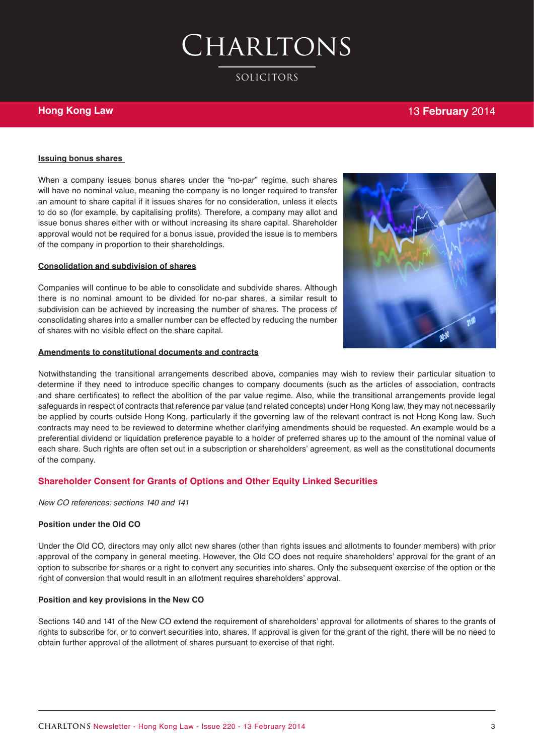SOLICITORS

#### **Hong Kong Law**

#### 13 **February** 2014

#### **Issuing bonus shares**

When a company issues bonus shares under the "no-par" regime, such shares will have no nominal value, meaning the company is no longer required to transfer an amount to share capital if it issues shares for no consideration, unless it elects to do so (for example, by capitalising profits). Therefore, a company may allot and issue bonus shares either with or without increasing its share capital. Shareholder approval would not be required for a bonus issue, provided the issue is to members of the company in proportion to their shareholdings.

#### **Consolidation and subdivision of shares**

Companies will continue to be able to consolidate and subdivide shares. Although there is no nominal amount to be divided for no-par shares, a similar result to subdivision can be achieved by increasing the number of shares. The process of consolidating shares into a smaller number can be effected by reducing the number of shares with no visible effect on the share capital.

#### **Amendments to constitutional documents and contracts**



Notwithstanding the transitional arrangements described above, companies may wish to review their particular situation to determine if they need to introduce specific changes to company documents (such as the articles of association, contracts and share certificates) to reflect the abolition of the par value regime. Also, while the transitional arrangements provide legal safeguards in respect of contracts that reference par value (and related concepts) under Hong Kong law, they may not necessarily be applied by courts outside Hong Kong, particularly if the governing law of the relevant contract is not Hong Kong law. Such contracts may need to be reviewed to determine whether clarifying amendments should be requested. An example would be a preferential dividend or liquidation preference payable to a holder of preferred shares up to the amount of the nominal value of each share. Such rights are often set out in a subscription or shareholders' agreement, as well as the constitutional documents of the company.

#### **Shareholder Consent for Grants of Options and Other Equity Linked Securities**

*New CO references: sections 140 and 141* 

#### **Position under the Old CO**

Under the Old CO, directors may only allot new shares (other than rights issues and allotments to founder members) with prior approval of the company in general meeting. However, the Old CO does not require shareholders' approval for the grant of an option to subscribe for shares or a right to convert any securities into shares. Only the subsequent exercise of the option or the right of conversion that would result in an allotment requires shareholders' approval.

#### **Position and key provisions in the New CO**

Sections 140 and 141 of the New CO extend the requirement of shareholders' approval for allotments of shares to the grants of rights to subscribe for, or to convert securities into, shares. If approval is given for the grant of the right, there will be no need to obtain further approval of the allotment of shares pursuant to exercise of that right.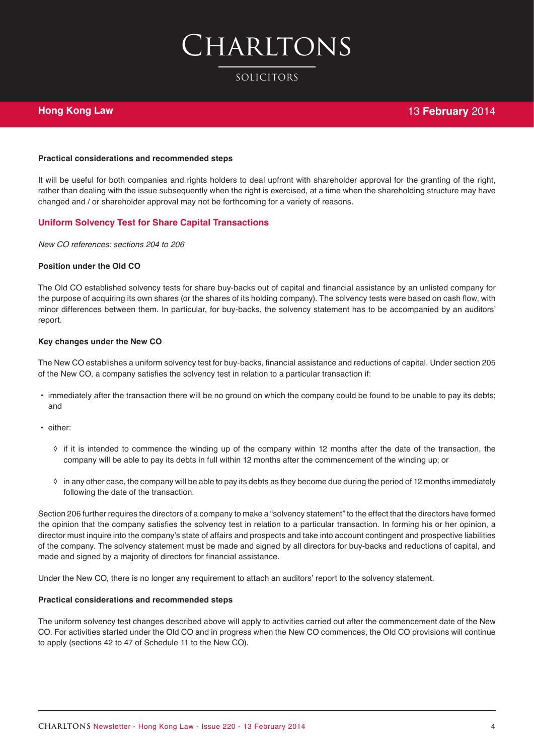SOLICITORS

#### **Hong Kong Law**

#### **Practical considerations and recommended steps**

It will be useful for both companies and rights holders to deal upfront with shareholder approval for the granting of the right, rather than dealing with the issue subsequently when the right is exercised, at a time when the shareholding structure may have changed and / or shareholder approval may not be forthcoming for a variety of reasons.

#### **Uniform Solvency Test for Share Capital Transactions**

*New CO references: sections 204 to 206*

#### **Position under the Old CO**

The Old CO established solvency tests for share buy-backs out of capital and financial assistance by an unlisted company for the purpose of acquiring its own shares (or the shares of its holding company). The solvency tests were based on cash flow, with minor differences between them. In particular, for buy-backs, the solvency statement has to be accompanied by an auditors' report.

#### **Key changes under the New CO**

The New CO establishes a uniform solvency test for buy-backs, financial assistance and reductions of capital. Under section 205 of the New CO, a company satisfies the solvency test in relation to a particular transaction if:

- **•** immediately after the transaction there will be no ground on which the company could be found to be unable to pay its debts; and
- **•** either:
	- ◊ if it is intended to commence the winding up of the company within 12 months after the date of the transaction, the company will be able to pay its debts in full within 12 months after the commencement of the winding up; or
	- ◊ in any other case, the company will be able to pay its debts as they become due during the period of 12 months immediately following the date of the transaction.

Section 206 further requires the directors of a company to make a "solvency statement" to the effect that the directors have formed the opinion that the company satisfies the solvency test in relation to a particular transaction. In forming his or her opinion, a director must inquire into the company's state of affairs and prospects and take into account contingent and prospective liabilities of the company. The solvency statement must be made and signed by all directors for buy-backs and reductions of capital, and made and signed by a majority of directors for financial assistance.

Under the New CO, there is no longer any requirement to attach an auditors' report to the solvency statement.

#### **Practical considerations and recommended steps**

The uniform solvency test changes described above will apply to activities carried out after the commencement date of the New CO. For activities started under the Old CO and in progress when the New CO commences, the Old CO provisions will continue to apply (sections 42 to 47 of Schedule 11 to the New CO).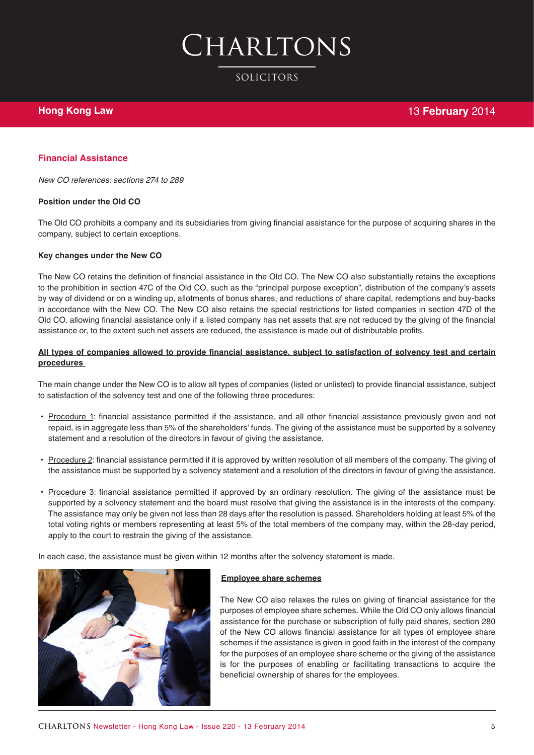SOLICITORS

#### **Financial Assistance**

*New CO references: sections 274 to 289*

#### **Position under the Old CO**

The Old CO prohibits a company and its subsidiaries from giving financial assistance for the purpose of acquiring shares in the company, subject to certain exceptions.

#### **Key changes under the New CO**

The New CO retains the definition of financial assistance in the Old CO. The New CO also substantially retains the exceptions to the prohibition in section 47C of the Old CO, such as the "principal purpose exception", distribution of the company's assets by way of dividend or on a winding up, allotments of bonus shares, and reductions of share capital, redemptions and buy-backs in accordance with the New CO. The New CO also retains the special restrictions for listed companies in section 47D of the Old CO, allowing financial assistance only if a listed company has net assets that are not reduced by the giving of the financial assistance or, to the extent such net assets are reduced, the assistance is made out of distributable profits.

#### **All types of companies allowed to provide financial assistance, subject to satisfaction of solvency test and certain procedures**

The main change under the New CO is to allow all types of companies (listed or unlisted) to provide financial assistance, subject to satisfaction of the solvency test and one of the following three procedures:

- **•** Procedure 1: financial assistance permitted if the assistance, and all other financial assistance previously given and not repaid, is in aggregate less than 5% of the shareholders' funds. The giving of the assistance must be supported by a solvency statement and a resolution of the directors in favour of giving the assistance.
- **•** Procedure 2: financial assistance permitted if it is approved by written resolution of all members of the company. The giving of the assistance must be supported by a solvency statement and a resolution of the directors in favour of giving the assistance.
- **•** Procedure 3: financial assistance permitted if approved by an ordinary resolution. The giving of the assistance must be supported by a solvency statement and the board must resolve that giving the assistance is in the interests of the company. The assistance may only be given not less than 28 days after the resolution is passed. Shareholders holding at least 5% of the total voting rights or members representing at least 5% of the total members of the company may, within the 28-day period, apply to the court to restrain the giving of the assistance.

In each case, the assistance must be given within 12 months after the solvency statement is made.



#### **Employee share schemes**

The New CO also relaxes the rules on giving of financial assistance for the purposes of employee share schemes. While the Old CO only allows financial assistance for the purchase or subscription of fully paid shares, section 280 of the New CO allows financial assistance for all types of employee share schemes if the assistance is given in good faith in the interest of the company for the purposes of an employee share scheme or the giving of the assistance is for the purposes of enabling or facilitating transactions to acquire the beneficial ownership of shares for the employees.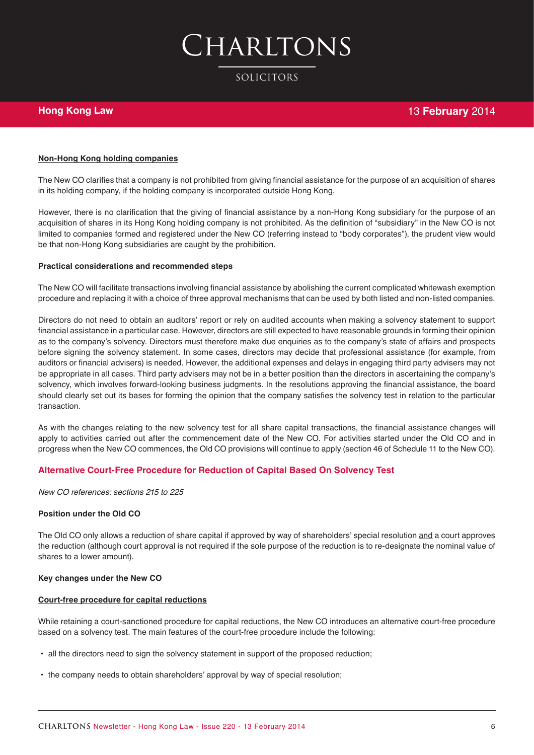## Charltons

#### SOLICITORS

#### **Hong Kong Law**

#### **Non-Hong Kong holding companies**

The New CO clarifies that a company is not prohibited from giving financial assistance for the purpose of an acquisition of shares in its holding company, if the holding company is incorporated outside Hong Kong.

However, there is no clarification that the giving of financial assistance by a non-Hong Kong subsidiary for the purpose of an acquisition of shares in its Hong Kong holding company is not prohibited. As the definition of "subsidiary" in the New CO is not limited to companies formed and registered under the New CO (referring instead to "body corporates"), the prudent view would be that non-Hong Kong subsidiaries are caught by the prohibition.

#### **Practical considerations and recommended steps**

The New CO will facilitate transactions involving financial assistance by abolishing the current complicated whitewash exemption procedure and replacing it with a choice of three approval mechanisms that can be used by both listed and non-listed companies.

Directors do not need to obtain an auditors' report or rely on audited accounts when making a solvency statement to support financial assistance in a particular case. However, directors are still expected to have reasonable grounds in forming their opinion as to the company's solvency. Directors must therefore make due enquiries as to the company's state of affairs and prospects before signing the solvency statement. In some cases, directors may decide that professional assistance (for example, from auditors or financial advisers) is needed. However, the additional expenses and delays in engaging third party advisers may not be appropriate in all cases. Third party advisers may not be in a better position than the directors in ascertaining the company's solvency, which involves forward-looking business judgments. In the resolutions approving the financial assistance, the board should clearly set out its bases for forming the opinion that the company satisfies the solvency test in relation to the particular transaction.

As with the changes relating to the new solvency test for all share capital transactions, the financial assistance changes will apply to activities carried out after the commencement date of the New CO. For activities started under the Old CO and in progress when the New CO commences, the Old CO provisions will continue to apply (section 46 of Schedule 11 to the New CO).

#### **Alternative Court-Free Procedure for Reduction of Capital Based On Solvency Test**

*New CO references: sections 215 to 225* 

#### **Position under the Old CO**

The Old CO only allows a reduction of share capital if approved by way of shareholders' special resolution and a court approves the reduction (although court approval is not required if the sole purpose of the reduction is to re-designate the nominal value of shares to a lower amount).

#### **Key changes under the New CO**

#### **Court-free procedure for capital reductions**

While retaining a court-sanctioned procedure for capital reductions, the New CO introduces an alternative court-free procedure based on a solvency test. The main features of the court-free procedure include the following:

- **•** all the directors need to sign the solvency statement in support of the proposed reduction;
- **•** the company needs to obtain shareholders' approval by way of special resolution;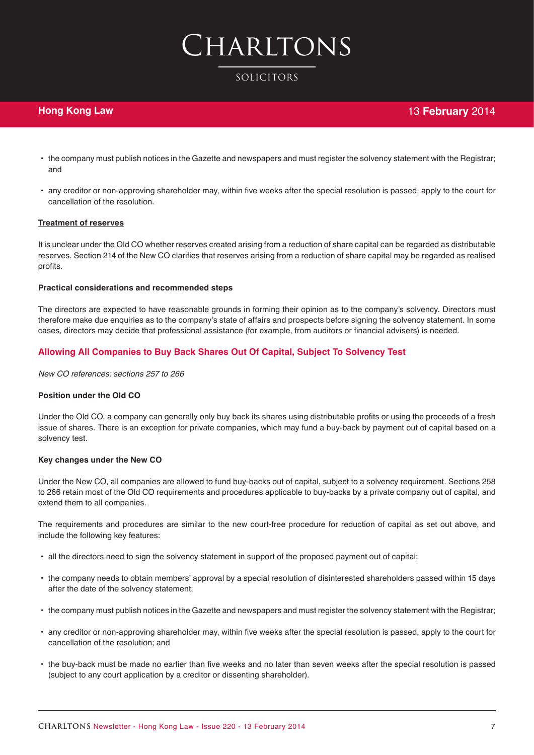#### SOLICITORS

#### **Hong Kong Law**

- **•** the company must publish notices in the Gazette and newspapers and must register the solvency statement with the Registrar; and
- **•** any creditor or non-approving shareholder may, within five weeks after the special resolution is passed, apply to the court for cancellation of the resolution.

#### **Treatment of reserves**

It is unclear under the Old CO whether reserves created arising from a reduction of share capital can be regarded as distributable reserves. Section 214 of the New CO clarifies that reserves arising from a reduction of share capital may be regarded as realised profits.

#### **Practical considerations and recommended steps**

The directors are expected to have reasonable grounds in forming their opinion as to the company's solvency. Directors must therefore make due enquiries as to the company's state of affairs and prospects before signing the solvency statement. In some cases, directors may decide that professional assistance (for example, from auditors or financial advisers) is needed.

#### **Allowing All Companies to Buy Back Shares Out Of Capital, Subject To Solvency Test**

*New CO references: sections 257 to 266*

#### **Position under the Old CO**

Under the Old CO, a company can generally only buy back its shares using distributable profits or using the proceeds of a fresh issue of shares. There is an exception for private companies, which may fund a buy-back by payment out of capital based on a solvency test.

#### **Key changes under the New CO**

Under the New CO, all companies are allowed to fund buy-backs out of capital, subject to a solvency requirement. Sections 258 to 266 retain most of the Old CO requirements and procedures applicable to buy-backs by a private company out of capital, and extend them to all companies.

The requirements and procedures are similar to the new court-free procedure for reduction of capital as set out above, and include the following key features:

- **•** all the directors need to sign the solvency statement in support of the proposed payment out of capital;
- **•** the company needs to obtain members' approval by a special resolution of disinterested shareholders passed within 15 days after the date of the solvency statement;
- **•** the company must publish notices in the Gazette and newspapers and must register the solvency statement with the Registrar;
- **•** any creditor or non-approving shareholder may, within five weeks after the special resolution is passed, apply to the court for cancellation of the resolution; and
- **•** the buy-back must be made no earlier than five weeks and no later than seven weeks after the special resolution is passed (subject to any court application by a creditor or dissenting shareholder).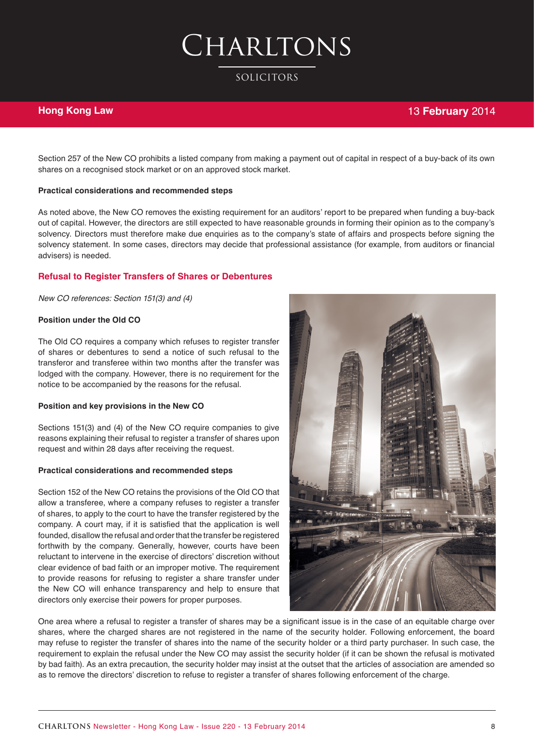SOLICITORS

#### **Hong Kong Law**

#### 13 **February** 2014

Section 257 of the New CO prohibits a listed company from making a payment out of capital in respect of a buy-back of its own shares on a recognised stock market or on an approved stock market.

#### **Practical considerations and recommended steps**

As noted above, the New CO removes the existing requirement for an auditors' report to be prepared when funding a buy-back out of capital. However, the directors are still expected to have reasonable grounds in forming their opinion as to the company's solvency. Directors must therefore make due enquiries as to the company's state of affairs and prospects before signing the solvency statement. In some cases, directors may decide that professional assistance (for example, from auditors or financial advisers) is needed.

#### **Refusal to Register Transfers of Shares or Debentures**

*New CO references: Section 151(3) and (4)* 

#### **Position under the Old CO**

The Old CO requires a company which refuses to register transfer of shares or debentures to send a notice of such refusal to the transferor and transferee within two months after the transfer was lodged with the company. However, there is no requirement for the notice to be accompanied by the reasons for the refusal.

#### **Position and key provisions in the New CO**

Sections 151(3) and (4) of the New CO require companies to give reasons explaining their refusal to register a transfer of shares upon request and within 28 days after receiving the request.

#### **Practical considerations and recommended steps**

Section 152 of the New CO retains the provisions of the Old CO that allow a transferee, where a company refuses to register a transfer of shares, to apply to the court to have the transfer registered by the company. A court may, if it is satisfied that the application is well founded, disallow the refusal and order that the transfer be registered forthwith by the company. Generally, however, courts have been reluctant to intervene in the exercise of directors' discretion without clear evidence of bad faith or an improper motive. The requirement to provide reasons for refusing to register a share transfer under the New CO will enhance transparency and help to ensure that directors only exercise their powers for proper purposes.



One area where a refusal to register a transfer of shares may be a significant issue is in the case of an equitable charge over shares, where the charged shares are not registered in the name of the security holder. Following enforcement, the board may refuse to register the transfer of shares into the name of the security holder or a third party purchaser. In such case, the requirement to explain the refusal under the New CO may assist the security holder (if it can be shown the refusal is motivated by bad faith). As an extra precaution, the security holder may insist at the outset that the articles of association are amended so as to remove the directors' discretion to refuse to register a transfer of shares following enforcement of the charge.